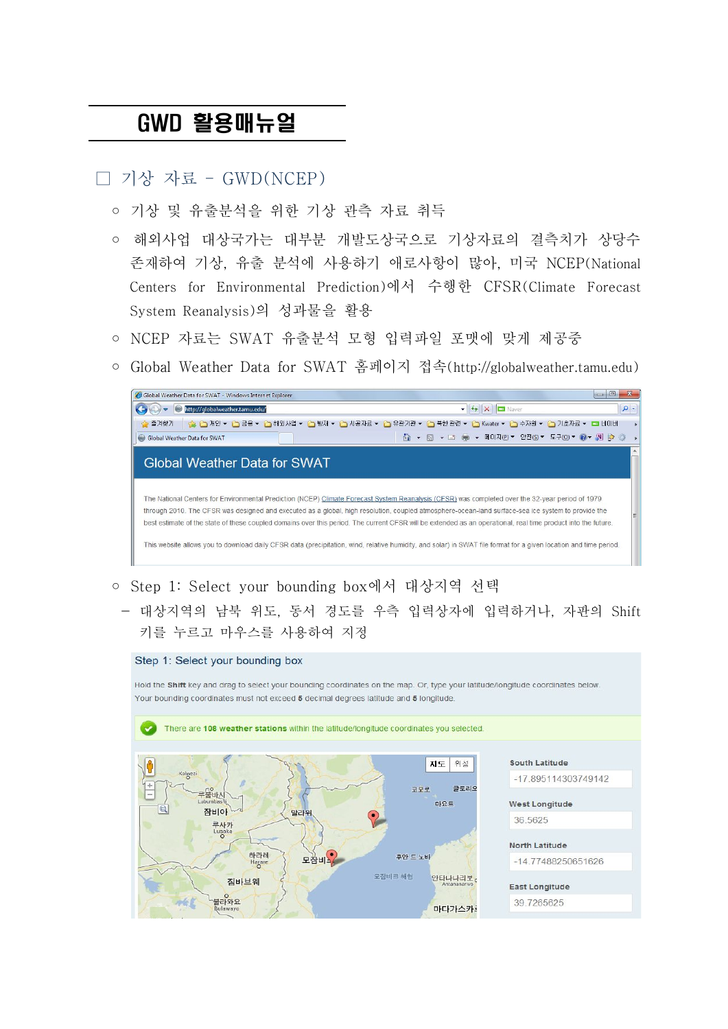## GWD 활용매뉴얼

□ 기상 자료 – GWD(NCEP)

- 기상 및 유출부석을 위한 기상 관측 자료 취득
- 해외사업 대상국가는 대부분 개발도상국으로 기상자료의 결측치가 상당수 존재하여 기상, 유출 분석에 사용하기 애로사항이 많아, 미국 NCEP(National Centers for Environmental Prediction)에서 수행한 CFSR(Climate Forecast System Reanalysis)의 성과물을 활용
- NCEP 자료는 SWAT 유출분석 모형 입력파일 포맷에 맞게 제공중
- Global Weather Data for SWAT 홈페이지 접속(http://globalweather.tamu.edu)



- Step 1: Select your bounding box에서 대상지역 선택
	- 대상지역의 남북 위도, 동서 경도를 우측 입력상자에 입력하거나, 자판의 Shift 키를 누르고 마우스를 사용하여 지정

## Step 1: Select your bounding box

Hold the Shift key and drag to select your bounding coordinates on the map. Or, type your latitude/longitude coordinates below Your bounding coordinates must not exceed 5 decimal degrees latitude and 5 longitude

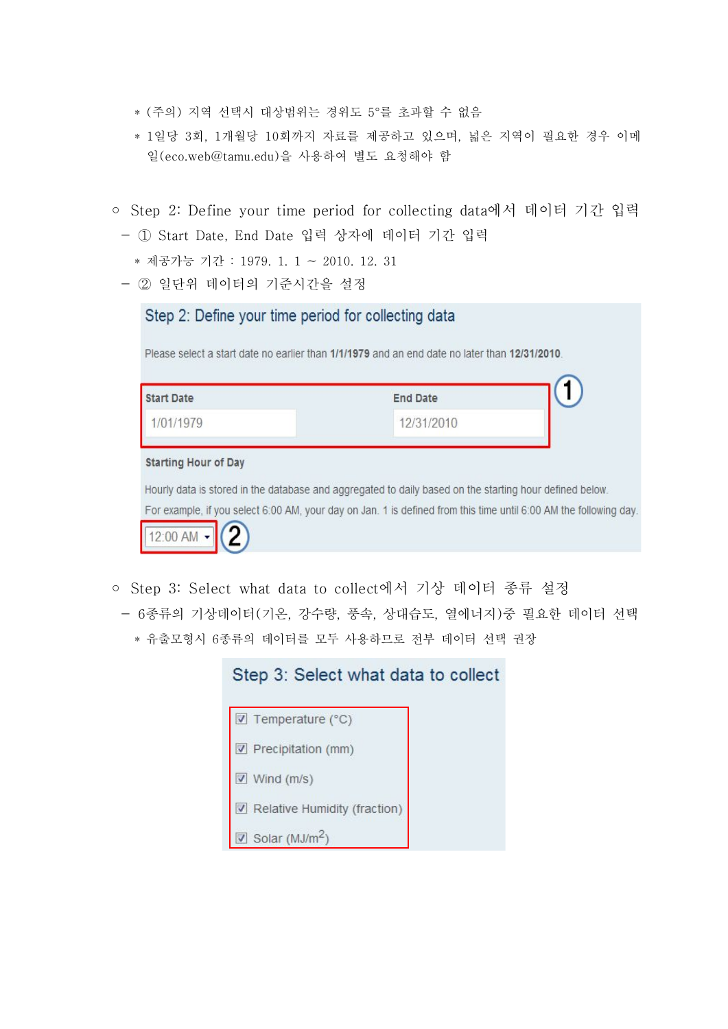- \* (주의) 지역 선택시 대상범위는 경위도 5°를 초과할 수 없음
- \* 1일당 3회, 1개월당 10회까지 자료를 제공하고 있으며, 넓은 지역이 필요한 경우 이메 일(eco.web@tamu.edu)을 사용하여 별도 요청해야 함
- Step 2: Define your time period for collecting data에서 데이터 기간 입력 - ① Start Date, End Date 입력 상자에 데이터 기간 입력
	- \* 제공가능 기간 : 1979. 1. 1 ~ 2010. 12. 31
	- ② 일단위 데이터의 기준시간을 설정

| 1/01/1979                   | 12/31/2010 |  |
|-----------------------------|------------|--|
|                             |            |  |
| <b>Starting Hour of Day</b> |            |  |

◦ Step 3: Select what data to collect에서 기상 데이터 종류 설정 - 6종류의 기상데이터(기온, 강수량, 풍속, 상대습도, 열에너지)중 필요한 데이터 선택 \* 유출모형시 6종류의 데이터를 모두 사용하므로 전부 데이터 선택 권장

| Step 3: Select what data to collect |  |  |  |  |  |  |
|-------------------------------------|--|--|--|--|--|--|
| $\triangledown$ Temperature (°C)    |  |  |  |  |  |  |
| $\nabla$ Precipitation (mm)         |  |  |  |  |  |  |
| Wind (m/s)                          |  |  |  |  |  |  |
| Relative Humidity (fraction)        |  |  |  |  |  |  |
| Solar ( $MJ/m2$ )                   |  |  |  |  |  |  |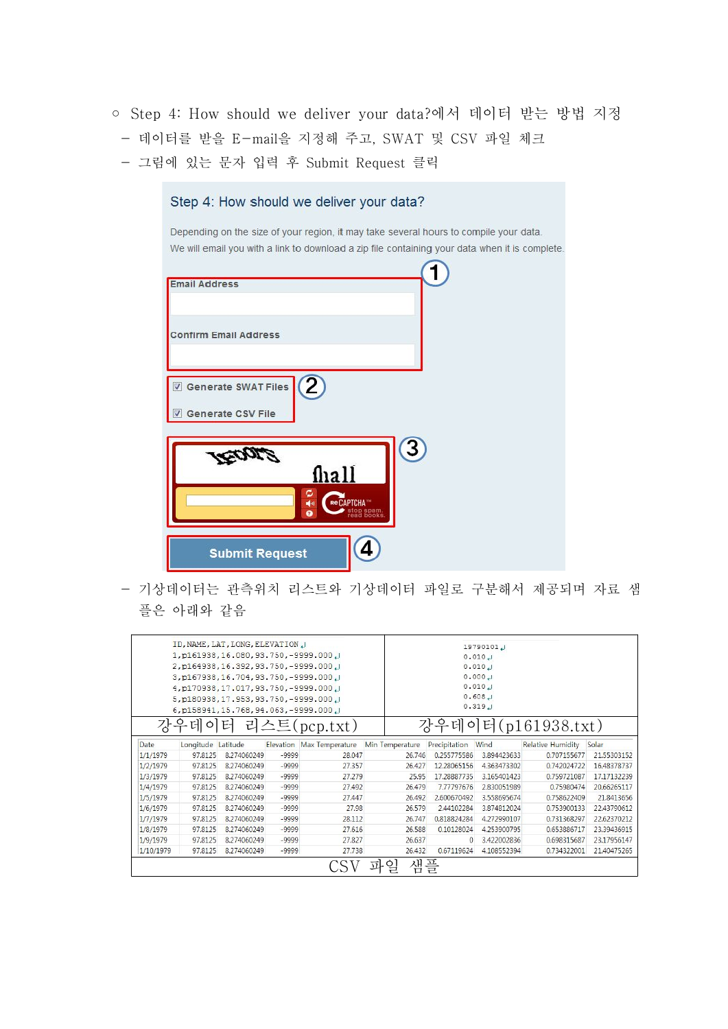- Step 4: How should we deliver your data?에서 데이터 받는 방법 지정
- 데이터를 받을 E-mail을 지정해 주고, SWAT 및 CSV 파일 체크
- 그림에 있는 문자 입력 후 Submit Request 클릭

| Step 4: How should we deliver your data? |                 |  |                                                                                                                                                                                        |
|------------------------------------------|-----------------|--|----------------------------------------------------------------------------------------------------------------------------------------------------------------------------------------|
|                                          |                 |  | Depending on the size of your region, it may take several hours to compile your data.<br>We will email you with a link to download a zip file containing your data when it is complete |
| <b>Email Address</b>                     |                 |  |                                                                                                                                                                                        |
| <b>Confirm Email Address</b>             |                 |  |                                                                                                                                                                                        |
| Generate SWAT Files<br>Generate CSV File |                 |  |                                                                                                                                                                                        |
|                                          | fhall           |  |                                                                                                                                                                                        |
|                                          | 백이<br>$\bullet$ |  |                                                                                                                                                                                        |
| <b>Submit Request</b>                    |                 |  |                                                                                                                                                                                        |

- 기상데이터는 관측위치 리스트와 기상데이터 파일로 구분해서 제공되며 자료 샘 플은 아래와 같음

| ID, NAME, LAT, LONG, ELEVATION U<br>1, p161938, 16.080, 93.750, -9999.000<br>2, p164938, 16.392, 93.750, -9999.000 J<br>3, p167938, 16.704, 93.750, -9999.000<br>4, p170938, 17.017, 93.750, -9999.000 J<br>5, p180938, 17.953, 93.750, -9999.000<br>6, p158941, 15.768, 94.063, -9999.000 J |                    |             |           |                 |                    | 19790101<br>0.010 J<br>0.010 J<br>0.000 J<br>0.010 J<br>0.608 J<br>0.319 J |             |                   |             |
|----------------------------------------------------------------------------------------------------------------------------------------------------------------------------------------------------------------------------------------------------------------------------------------------|--------------------|-------------|-----------|-----------------|--------------------|----------------------------------------------------------------------------|-------------|-------------------|-------------|
| 리스트(pcp.txt)<br>강우                                                                                                                                                                                                                                                                           |                    |             |           |                 |                    | 데                                                                          | ΟI          | 터 $(p161938.txt)$ |             |
|                                                                                                                                                                                                                                                                                              |                    |             |           |                 |                    |                                                                            |             |                   |             |
| <b>Date</b>                                                                                                                                                                                                                                                                                  | Longitude Latitude |             | Elevation | Max Temperature | Min Temperature    | Precipitation                                                              | Wind        | Relative Humidity | Solar       |
| 1/1/1979                                                                                                                                                                                                                                                                                     | 97,8125            | 8.274060249 | $-9999$   | 28.047          | 26,746             | 0.255775586                                                                | 3.894423633 | 0.707155677       | 21.55303152 |
| 1/2/1979                                                                                                                                                                                                                                                                                     | 97.8125            | 8.274060249 | $-9999$   | 27.357          | 26,427             | 12.28065156                                                                | 4.363473302 | 0.742024722       | 16.48378737 |
| 1/3/1979                                                                                                                                                                                                                                                                                     | 97.8125            | 8.274060249 | $-9999$   | 27.279          | 25.95              | 17.28887735                                                                | 3.165401423 | 0.759721087       | 17.17132239 |
| 1/4/1979                                                                                                                                                                                                                                                                                     | 97.8125            | 8.274060249 | $-9999$   | 27.492          | 26,479             | 7.77797676                                                                 | 2.830051989 | 0.75980474        | 20.66265117 |
| 1/5/1979                                                                                                                                                                                                                                                                                     | 97.8125            | 8.274060249 | $-9999$   | 27.447          | 26.492             | 2.600670492                                                                | 3.558695674 | 0.758622409       | 21.8413656  |
| 1/6/1979                                                                                                                                                                                                                                                                                     | 97.8125            | 8.274060249 | $-9999$   | 27.98           | 26,579             | 2.44102284                                                                 | 3.874812024 | 0.753900133       | 22.43790612 |
| 1/7/1979                                                                                                                                                                                                                                                                                     | 97.8125            | 8.274060249 | $-9999$   | 28.112          | 26,747             | 0.818824284                                                                | 4.272990107 | 0.731368297       | 22.62370212 |
| 1/8/1979                                                                                                                                                                                                                                                                                     | 97.8125            | 8.274060249 | $-9999$   | 27.616          | 26,588             | 0.10128024                                                                 | 4.253900795 | 0.653886717       | 23.39436915 |
| 1/9/1979                                                                                                                                                                                                                                                                                     | 97.8125            | 8.274060249 | $-9999$   | 27.827          | 26.637             | 0                                                                          | 3.422002836 | 0.698315687       | 23.17956147 |
| 1/10/1979                                                                                                                                                                                                                                                                                    | 97.8125            | 8.274060249 | $-9999$   | 27.738          | 26.432             | 0.67119624                                                                 | 4.108552394 | 0.734322001       | 21.40475265 |
|                                                                                                                                                                                                                                                                                              |                    |             |           |                 | 샘<br>일<br><u>ম</u> | 플                                                                          |             |                   |             |